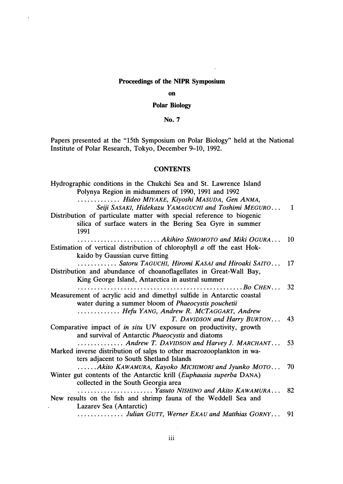### **Proceedings of the NIPR Symposium**

#### **on**

### **Polar Biology**

# **No.7**

Papers presented at the "15th Symposium on Polar Biology" held at the National Institute of Polar Research, Tokyo, December 9-10, 1992.

## **CONTENTS**

Hydrographic conditions in the Chukchi Sea and St. Lawrence Island Polynya Region in midsummers of 1990, 1991 and 1992 ............. *Hideo MIYAKE, Kiyoshi MASUDA, Gen ANMA,*  Seiji SASAKI, Hidekazu YAMAGUCHI and Toshimi MEGURO... 1 Distribution of particulate matter with special reference to biogenic silica of surface waters in the Bering Sea Gyre in summer 1991 ......................... *Akihiro SH/OMOTO and Miki OGURA.* . . 10 Estimation of vertical distribution of chlorophyll *a* off the east Hokkaido by Gaussian curve fitting ............ *Satoru TAGUCHI, Hiromi KASAI and Hiroaki SAITO.* . . 17 Distribution and abundance of choanoflagellates in Great-Wall Bay, King George Island, Antarctica in austral summer .................................................. *Bo CHEN...* 32 Measurement of acrylic acid and dimethyl sulfide in Antarctic coastal water during a summer bloom of *Phaeocystis pouchetii*  ............. *Hefu YANG, Andrew R. MCTAGGART, Andrew T. DAVIDSON and Harry BURTON...* 43 Comparative impact of *in situ* UV exposure on productivity, growth and survival of Antarctic *Phaeocystis* and diatoms .............. *Andrew T. DAVIDSON and Harvey J. MARCHANT.* . . 53 Marked inverse distribution of salps to other macrozooplankton in waters adjacent to South Shetland Islands .....*. Akito KAWAMURA, Kayoko MICH/MORI and Jyunko MOTO...* 70 Winter gut contents of the Antarctic krill *(Euphausia superba* DANA) collected in the South Georgia area ....................... *Yasuto NISH/NO and Akito KAWAMURA.* . . 82 New results on the fish and shrimp fauna of the Weddell Sea and Lazarev Sea (Antarctic) .............. *Julian GUTT, Werner EKAU and Matthias GORNY...* 91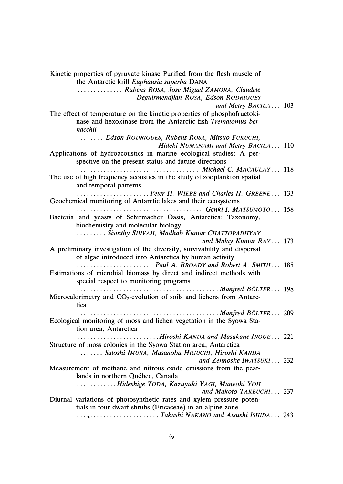**Kinetic properties of pyruvate kinase Purified from the flesh muscle of the Antarctic krill** *Euphausia superba* **DANA ..............** *Rubens ROSA, Jose Miguel ZAMORA, Claudete Deguirmendjian ROSA, Edson RODRIGUES and Metry BACILA ...* **103 The effect of temperature on the kinetic properties of phosphofructokinase and hexokinase from the Antarctic fish** *Trematomus bernacchii*  **. . . . . . . .** *Edson RODRIGUES, Rubens ROSA, Mitsuo FUKUCHI, Hideki NUMANAMI and Metry BACILA..* **. 110 Applications of hydroacoustics in marine ecological studies: A perspective on the present status and future directions .....................................** *Michael C. MACAULAY ...* **118 The use of high frequency acoustics in the study of zooplankton spatial and temporal patterns ......................** *Peter H. WIEBE and Charles H. GREENE ...* **133 Geochemical monitoring of Antarctic lakes and their ecosystems ......................................** *Genki I. MATSUMOTO.* **. . 158 Bacteria and yeasts of Schirmacher Oasis, Antarctica: Taxonomy, biochemistry and molecular biology .........** *Sisinthy SHIVAJI, Madhab Kumar CHATTOPADHYAY and Malay Kumar RAY ...* **173 A preliminary investigation of the diversity, survivability and dispersal of algae introduced into Antarctica by human activity .......................** *Paul A. BROADY and Robert A. SMITH.* **. . 185 Estimations of microbial biomass by direct and indirect methods with special respect to monitoring programs ...........................................** *Manfred BOLTER.* **. . 198**  Microcalorimetry and CO<sub>2</sub>-evolution of soils and lichens from Antarc**tica ...........................................** *Manfred BOLTER ..***. 209 Ecological monitoring of moss and lichen vegetation in the Syowa Station area, Antarctica .........................** *Hiroshi KANDA and Masakane INOUE.* **. . 221 Structure of moss colonies in the Syowa Station area, Antarctica ........** *Satoshi !MURA, Masanobu HIGUCHI, Hiroshi KANDA and Zennoske /WATSUKI .***.. 232 Measurement of methane and nitrous oxide emissions from the peat**lands in northern Québec, Canada **............** *Hideshige TODA, Kazuyuki YAGI, Muneoki YOH and Makoto TAKEUCHI.* **. . 237 Diurnal variations of photosynthetic rates and xylem pressure potentials in four dwarf shrubs (Ericaceae) in an alpine zone ... � .....................** *Takashi NAKANO and Atsushi /SH/DA.* **. . 243**